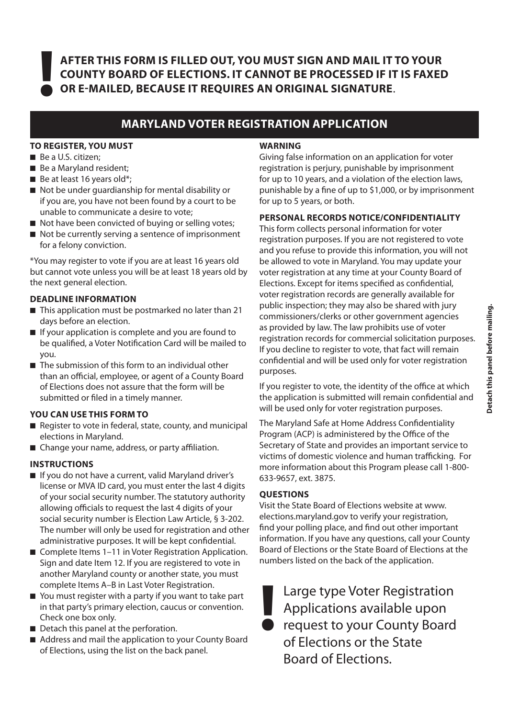**AFTER THIS FORM IS FILLED OUT, YOU MUST SIGN AND MAIL IT TO YOUR COUNTY BOARD OF ELECTIONS. IT CANNOT BE PROCESSED IF IT IS FAXED ! OR E-MAILED, BECAUSE IT REQUIRES AN ORIGINAL SIGNATURE**.

## **MARYLAND VOTER REGISTRATION APPLICATION**

#### **TO REGISTER, YOU MUST**

- Be a U.S. citizen;
- $\blacksquare$  Be a Maryland resident;
- $\blacksquare$  Be at least 16 years old\*;
- $\blacksquare$  Not be under quardianship for mental disability or if you are, you have not been found by a court to be unable to communicate a desire to vote;
- $\blacksquare$  Not have been convicted of buying or selling votes;
- $\blacksquare$  Not be currently serving a sentence of imprisonment for a felony conviction.

\*You may register to vote if you are at least 16 years old but cannot vote unless you will be at least 18 years old by the next general election.

#### **DEADLINE INFORMATION**

- $\blacksquare$  This application must be postmarked no later than 21 days before an election.
- $\blacksquare$  If your application is complete and you are found to be qualified, a Voter Notification Card will be mailed to you.
- $\blacksquare$  The submission of this form to an individual other than an official, employee, or agent of a County Board of Elections does not assure that the form will be submitted or filed in a timely manner.

#### **YOU CAN USE THIS FORM TO**

- Register to vote in federal, state, county, and municipal elections in Maryland.
- Change your name, address, or party affiliation.

#### **INSTRUCTIONS**

- $\blacksquare$  If you do not have a current, valid Maryland driver's license or MVA ID card, you must enter the last 4 digits of your social security number. The statutory authority allowing officials to request the last 4 digits of your social security number is Election Law Article, § 3-202. The number will only be used for registration and other administrative purposes. It will be kept confidential.
- Complete Items 1–11 in Voter Registration Application. Sign and date Item 12. If you are registered to vote in another Maryland county or another state, you must complete Items A–B in Last Voter Registration.
- $\blacksquare$  You must register with a party if you want to take part in that party's primary election, caucus or convention. Check one box only.
- $\blacksquare$  Detach this panel at the perforation.
- Address and mail the application to your County Board of Elections, using the list on the back panel.

#### **WARNING**

Giving false information on an application for voter registration is perjury, punishable by imprisonment for up to 10 years, and a violation of the election laws, punishable by a fine of up to \$1,000, or by imprisonment for up to 5 years, or both.

#### **PERSONAL RECORDS NOTICE/CONFIDENTIALITY**

This form collects personal information for voter registration purposes. If you are not registered to vote and you refuse to provide this information, you will not be allowed to vote in Maryland. You may update your voter registration at any time at your County Board of Elections. Except for items specified as confidential, voter registration records are generally available for public inspection; they may also be shared with jury commissioners/clerks or other government agencies as provided by law. The law prohibits use of voter registration records for commercial solicitation purposes. If you decline to register to vote, that fact will remain confidential and will be used only for voter registration purposes.

If you register to vote, the identity of the office at which the application is submitted will remain confidential and will be used only for voter registration purposes.

The Maryland Safe at Home Address Confidentiality Program (ACP) is administered by the Office of the Secretary of State and provides an important service to victims of domestic violence and human trafficking. For more information about this Program please call 1-800- 633-9657, ext. 3875.

#### **QUESTIONS**

Visit the State Board of Elections website at www. elections.maryland.gov to verify your registration, find your polling place, and find out other important information. If you have any questions, call your County Board of Elections or the State Board of Elections at the numbers listed on the back of the application.

Large type Voter Registration Applications available upon request to your County Board of Elections or the State Board of Elections. **!**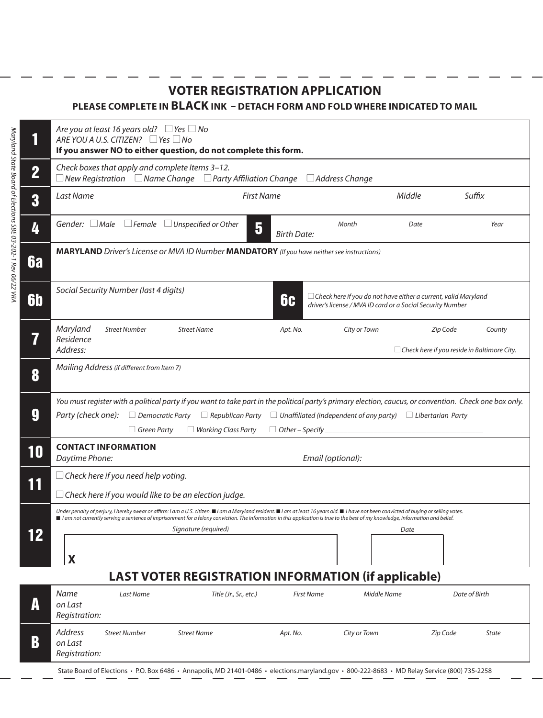## **VOTER REGISTRATION APPLICATION**

### **PLEASE COMPLETE IN BLACK INK – DETACH FORM AND FOLD WHERE INDICATED TO MAIL**

*Maryland State Board of Elections SBE 03-202-1 Rev 06/22 VRA*

Maryland State Board of Elections SBE 03-202-1 Rev 06/22 VRA

|                | Are you at least 16 years old? $\Box$ Yes $\Box$ No<br>ARE YOU A U.S. CITIZEN? $\Box$ Yes $\Box$ No<br>If you answer NO to either question, do not complete this form.                                                                                                                                                                                                                    |                      |                                                                                                                                                                                                                                                                                                                                                                                                     |                         |                   |                  |          |                                                              |
|----------------|-------------------------------------------------------------------------------------------------------------------------------------------------------------------------------------------------------------------------------------------------------------------------------------------------------------------------------------------------------------------------------------------|----------------------|-----------------------------------------------------------------------------------------------------------------------------------------------------------------------------------------------------------------------------------------------------------------------------------------------------------------------------------------------------------------------------------------------------|-------------------------|-------------------|------------------|----------|--------------------------------------------------------------|
| $\overline{2}$ | Check boxes that apply and complete Items 3-12.<br>$\Box$ New Registration $\Box$ Name Change $\Box$ Party Affiliation Change<br>$\Box$ Address Change                                                                                                                                                                                                                                    |                      |                                                                                                                                                                                                                                                                                                                                                                                                     |                         |                   |                  |          |                                                              |
| 3              | Last Name                                                                                                                                                                                                                                                                                                                                                                                 |                      | <b>First Name</b>                                                                                                                                                                                                                                                                                                                                                                                   |                         |                   | Suffix<br>Middle |          |                                                              |
| 4              | Gender: $\Box$ Male                                                                                                                                                                                                                                                                                                                                                                       |                      | $\Box$ Female $\Box$ Unspecified or Other                                                                                                                                                                                                                                                                                                                                                           | 5<br><b>Birth Date:</b> | Month             |                  | Date     | Year                                                         |
| <b>6a</b>      | MARYLAND Driver's License or MVA ID Number MANDATORY (If you have neither see instructions)                                                                                                                                                                                                                                                                                               |                      |                                                                                                                                                                                                                                                                                                                                                                                                     |                         |                   |                  |          |                                                              |
| <b>6b</b>      | Social Security Number (last 4 digits)<br>$\Box$ Check here if you do not have either a current, valid Maryland<br>6c<br>driver's license / MVA ID card or a Social Security Number                                                                                                                                                                                                       |                      |                                                                                                                                                                                                                                                                                                                                                                                                     |                         |                   |                  |          |                                                              |
| 7              | Maryland<br>Residence<br>Address:                                                                                                                                                                                                                                                                                                                                                         | <b>Street Number</b> | <b>Street Name</b>                                                                                                                                                                                                                                                                                                                                                                                  | Apt. No.                |                   | City or Town     | Zip Code | County<br>$\Box$ Check here if you reside in Baltimore City. |
| 8              | Mailing Address (if different from Item 7)                                                                                                                                                                                                                                                                                                                                                |                      |                                                                                                                                                                                                                                                                                                                                                                                                     |                         |                   |                  |          |                                                              |
| 9              | You must register with a political party if you want to take part in the political party's primary election, caucus, or convention. Check one box only.<br>Party (check one): $\Box$ Democratic Party<br>$\Box$ Republican Party<br>$\Box$ Unaffiliated (independent of any party) $\Box$ Libertarian Party<br>$\Box$ Working Class Party<br>$\Box$ Green Party<br>$\Box$ Other – Specify |                      |                                                                                                                                                                                                                                                                                                                                                                                                     |                         |                   |                  |          |                                                              |
| 10             | <b>CONTACT INFORMATION</b><br>Daytime Phone:<br>Email (optional):                                                                                                                                                                                                                                                                                                                         |                      |                                                                                                                                                                                                                                                                                                                                                                                                     |                         |                   |                  |          |                                                              |
| 11             | $\Box$ Check here if you need help voting.<br>$\Box$ Check here if you would like to be an election judge.                                                                                                                                                                                                                                                                                |                      |                                                                                                                                                                                                                                                                                                                                                                                                     |                         |                   |                  |          |                                                              |
| 12             | X                                                                                                                                                                                                                                                                                                                                                                                         |                      | Under penalty of perjury, I hereby swear or affirm: I am a U.S. citizen. ■I am a Maryland resident. ■I am at least 16 years old. ■ I have not been convicted of buying or selling votes.<br>I am not currently serving a sentence of imprisonment for a felony conviction. The information in this application is true to the best of my knowledge, information and belief.<br>Signature (required) |                         |                   |                  | Date     |                                                              |
|                | <b>LAST VOTER REGISTRATION INFORMATION (if applicable)</b>                                                                                                                                                                                                                                                                                                                                |                      |                                                                                                                                                                                                                                                                                                                                                                                                     |                         |                   |                  |          |                                                              |
| A              | <b>Name</b><br>on Last<br>Registration:                                                                                                                                                                                                                                                                                                                                                   | Last Name            | Title (Jr., Sr., etc.)                                                                                                                                                                                                                                                                                                                                                                              |                         | <b>First Name</b> | Middle Name      |          | Date of Birth                                                |
| B              | Address<br>on Last<br>Registration:                                                                                                                                                                                                                                                                                                                                                       | <b>Street Number</b> | <b>Street Name</b>                                                                                                                                                                                                                                                                                                                                                                                  | Apt. No.                |                   | City or Town     | Zip Code | State                                                        |
|                |                                                                                                                                                                                                                                                                                                                                                                                           |                      |                                                                                                                                                                                                                                                                                                                                                                                                     |                         |                   |                  |          |                                                              |

State Board of Elections • P.O. Box 6486 • Annapolis, MD 21401-0486 • elections.maryland.gov • 800-222-8683 • MD Relay Service (800) 735-2258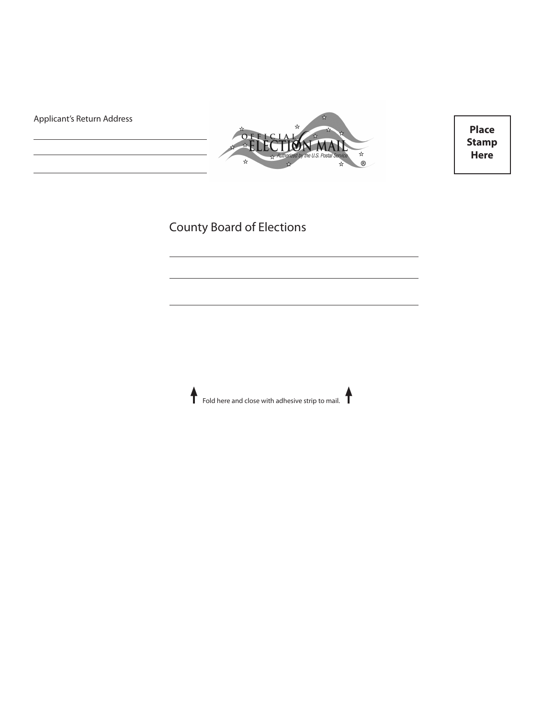Applicant's Return Address



**Place Stamp Here**

# County Board of Elections